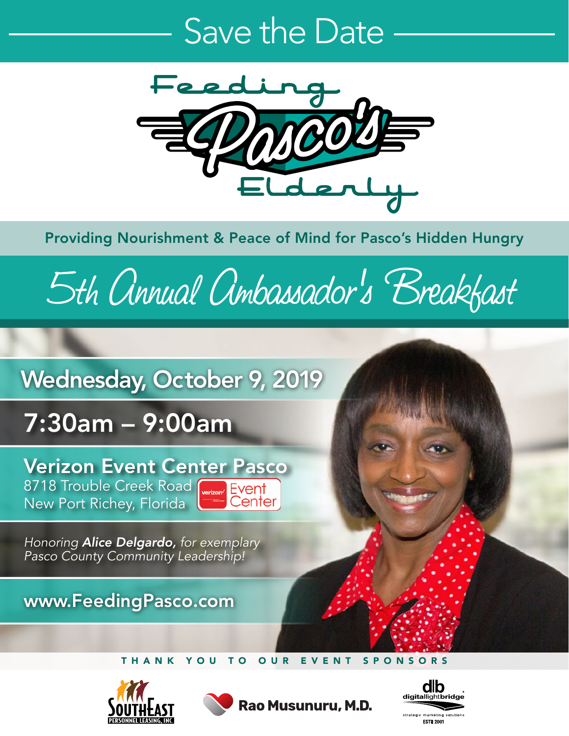## Save the Date



Providing Nourishment & Peace of Mind for Pasco's Hidden Hungry

# 5th Annual Ambassador's Breakfast

### Wednesday, October 9, 2019

## 7:30am – 9:00am

Verizon Event Center Pasco 8718 Trouble Creek Road Werizon' Event New Port Richey, Florida Center

*Honoring Alice Delgardo, for exemplary Pasco County Community Leadership!*

#### www.FeedingPasco.com

#### THANK YOU TO OUR EVENT SPONSORS